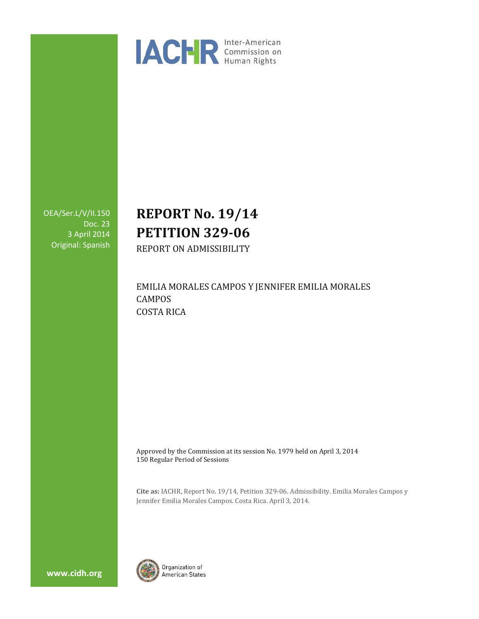

OEA/Ser.L/V/II.150 Doc. 23 3 April 2014 Original: Spanish

# **REPORT No. 19/14 PETITION 329-06**

REPORT ON ADMISSIBILITY

EMILIA MORALES CAMPOS Y JENNIFER EMILIA MORALES CAMPOS COSTA RICA

Approved by the Commission at its session No. 1979 held on April 3, 2014 150 Regular Period of Sessions

**Cite as:** IACHR, Report No. 19/14, Petition 329-06. Admissibility. Emilia Morales Campos y Jennifer Emilia Morales Campos. Costa Rica. April 3, 2014.



**www.cidh.org**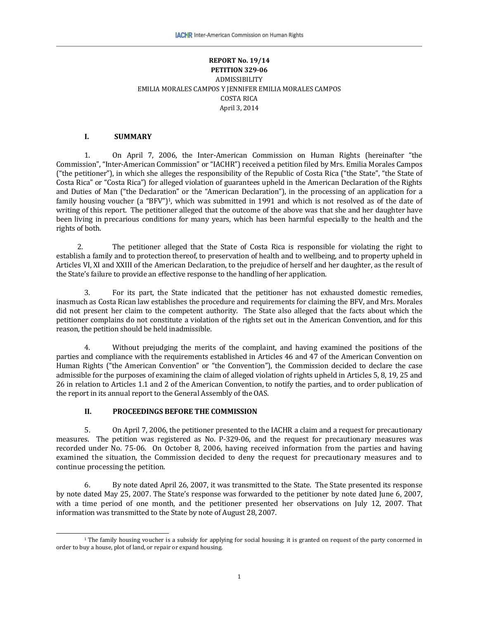#### **REPORT No. 19/14 PETITION 329-06** ADMISSIBILITY EMILIA MORALES CAMPOS Y JENNIFER EMILIA MORALES CAMPOS COSTA RICA April 3, 2014

#### **I. SUMMARY**

1. On April 7, 2006, the Inter-American Commission on Human Rights (hereinafter "the Commission", "Inter-American Commission" or "IACHR") received a petition filed by Mrs. Emilia Morales Campos ("the petitioner"), in which she alleges the responsibility of the Republic of Costa Rica ("the State", "the State of Costa Rica" or "Costa Rica") for alleged violation of guarantees upheld in the American Declaration of the Rights and Duties of Man ("the Declaration" or the "American Declaration"), in the processing of an application for a family housing voucher (a "BFV")<sup>1</sup>, which was submitted in 1991 and which is not resolved as of the date of writing of this report. The petitioner alleged that the outcome of the above was that she and her daughter have been living in precarious conditions for many years, which has been harmful especially to the health and the rights of both.

2. The petitioner alleged that the State of Costa Rica is responsible for violating the right to establish a family and to protection thereof, to preservation of health and to wellbeing, and to property upheld in Articles VI, XI and XXIII of the American Declaration, to the prejudice of herself and her daughter, as the result of the State's failure to provide an effective response to the handling of her application.

3. For its part, the State indicated that the petitioner has not exhausted domestic remedies, inasmuch as Costa Rican law establishes the procedure and requirements for claiming the BFV, and Mrs. Morales did not present her claim to the competent authority. The State also alleged that the facts about which the petitioner complains do not constitute a violation of the rights set out in the American Convention, and for this reason, the petition should be held inadmissible.

4. Without prejudging the merits of the complaint, and having examined the positions of the parties and compliance with the requirements established in Articles 46 and 47 of the American Convention on Human Rights ("the American Convention" or "the Convention"), the Commission decided to declare the case admissible for the purposes of examining the claim of alleged violation of rights upheld in Articles 5, 8, 19, 25 and 26 in relation to Articles 1.1 and 2 of the American Convention, to notify the parties, and to order publication of the report in its annual report to the General Assembly of the OAS.

#### **II. PROCEEDINGS BEFORE THE COMMISSION**

 $\overline{\phantom{a}}$ 

5. On April 7, 2006, the petitioner presented to the IACHR a claim and a request for precautionary measures. The petition was registered as No. P-329-06, and the request for precautionary measures was recorded under No. 75-06. On October 8, 2006, having received information from the parties and having examined the situation, the Commission decided to deny the request for precautionary measures and to continue processing the petition.

6. By note dated April 26, 2007, it was transmitted to the State. The State presented its response by note dated May 25, 2007. The State's response was forwarded to the petitioner by note dated June 6, 2007, with a time period of one month, and the petitioner presented her observations on July 12, 2007. That information was transmitted to the State by note of August 28, 2007.

 $1$ <sup>T</sup>he family housing voucher is a subsidy for applying for social housing; it is granted on request of the party concerned in order to buy a house, plot of land, or repair or expand housing.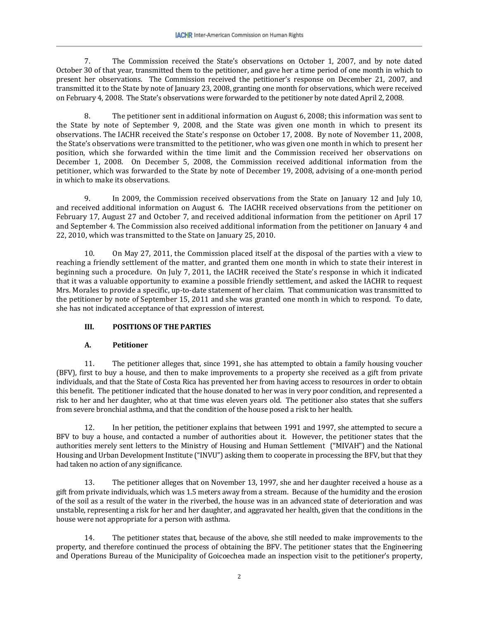7. The Commission received the State's observations on October 1, 2007, and by note dated October 30 of that year, transmitted them to the petitioner, and gave her a time period of one month in which to present her observations. The Commission received the petitioner's response on December 21, 2007, and transmitted it to the State by note of January 23, 2008, granting one month for observations, which were received on February 4, 2008. The State's observations were forwarded to the petitioner by note dated April 2, 2008.

8. The petitioner sent in additional information on August 6, 2008; this information was sent to the State by note of September 9, 2008, and the State was given one month in which to present its observations. The IACHR received the State's response on October 17, 2008. By note of November 11, 2008, the State's observations were transmitted to the petitioner, who was given one month in which to present her position, which she forwarded within the time limit and the Commission received her observations on December 1, 2008. On December 5, 2008, the Commission received additional information from the petitioner, which was forwarded to the State by note of December 19, 2008, advising of a one-month period in which to make its observations.

9. In 2009, the Commission received observations from the State on January 12 and July 10, and received additional information on August 6. The IACHR received observations from the petitioner on February 17, August 27 and October 7, and received additional information from the petitioner on April 17 and September 4. The Commission also received additional information from the petitioner on January 4 and 22, 2010, which was transmitted to the State on January 25, 2010.

10. On May 27, 2011, the Commission placed itself at the disposal of the parties with a view to reaching a friendly settlement of the matter, and granted them one month in which to state their interest in beginning such a procedure. On July 7, 2011, the IACHR received the State's response in which it indicated that it was a valuable opportunity to examine a possible friendly settlement, and asked the IACHR to request Mrs. Morales to provide a specific, up-to-date statement of her claim. That communication was transmitted to the petitioner by note of September 15, 2011 and she was granted one month in which to respond. To date, she has not indicated acceptance of that expression of interest.

# **III. POSITIONS OF THE PARTIES**

## **A. Petitioner**

11. The petitioner alleges that, since 1991, she has attempted to obtain a family housing voucher (BFV), first to buy a house, and then to make improvements to a property she received as a gift from private individuals, and that the State of Costa Rica has prevented her from having access to resources in order to obtain this benefit. The petitioner indicated that the house donated to her was in very poor condition, and represented a risk to her and her daughter, who at that time was eleven years old. The petitioner also states that she suffers from severe bronchial asthma, and that the condition of the house posed a risk to her health.

12. In her petition, the petitioner explains that between 1991 and 1997, she attempted to secure a BFV to buy a house, and contacted a number of authorities about it. However, the petitioner states that the authorities merely sent letters to the Ministry of Housing and Human Settlement ("MIVAH") and the National Housing and Urban Development Institute ("INVU") asking them to cooperate in processing the BFV, but that they had taken no action of any significance.

13. The petitioner alleges that on November 13, 1997, she and her daughter received a house as a gift from private individuals, which was 1.5 meters away from a stream. Because of the humidity and the erosion of the soil as a result of the water in the riverbed, the house was in an advanced state of deterioration and was unstable, representing a risk for her and her daughter, and aggravated her health, given that the conditions in the house were not appropriate for a person with asthma.

14. The petitioner states that, because of the above, she still needed to make improvements to the property, and therefore continued the process of obtaining the BFV. The petitioner states that the Engineering and Operations Bureau of the Municipality of Goicoechea made an inspection visit to the petitioner's property,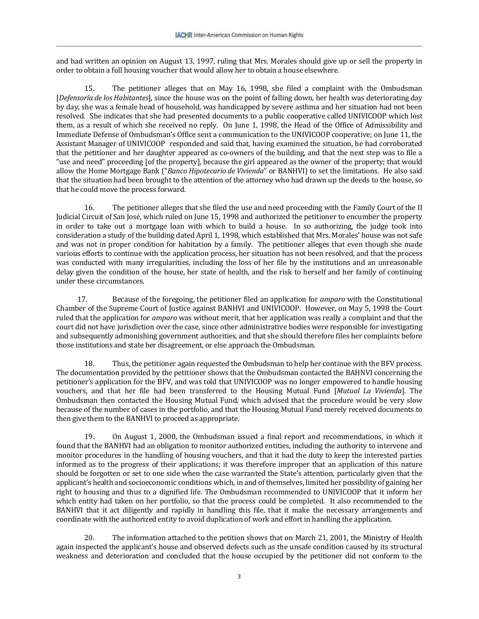and had written an opinion on August 13, 1997, ruling that Mrs. Morales should give up or sell the property in order to obtain a full housing voucher that would allow her to obtain a house elsewhere.

15. The petitioner alleges that on May 16, 1998, she filed a complaint with the Ombudsman [*Defensoría de los Habitantes*], since the house was on the point of falling down, her health was deteriorating day by day, she was a female head of household, was handicapped by severe asthma and her situation had not been resolved. She indicates that she had presented documents to a public cooperative called UNIVICOOP which lost them, as a result of which she received no reply. On June 1, 1998, the Head of the Office of Admissibility and Immediate Defense of Ombudsman's Office sent a communication to the UNIVICOOP cooperative; on June 11, the Assistant Manager of UNIVICOOP responded and said that, having examined the situation, he had corroborated that the petitioner and her daughter appeared as co-owners of the building, and that the next step was to file a "use and need" proceeding [of the property], because the girl appeared as the owner of the property; that would allow the Home Mortgage Bank ("*Banco Hipotecario de Vivienda*" or BANHVI) to set the limitations. He also said that the situation had been brought to the attention of the attorney who had drawn up the deeds to the house, so that he could move the process forward.

16. The petitioner alleges that she filed the use and need proceeding with the Family Court of the II Judicial Circuit of San José, which ruled on June 15, 1998 and authorized the petitioner to encumber the property in order to take out a mortgage loan with which to build a house. In so authorizing, the judge took into consideration a study of the building dated April 1, 1998, which established that Mrs. Morales' house was not safe and was not in proper condition for habitation by a family. The petitioner alleges that even though she made various efforts to continue with the application process, her situation has not been resolved, and that the process was conducted with many irregularities, including the loss of her file by the institutions and an unreasonable delay given the condition of the house, her state of health, and the risk to herself and her family of continuing under these circumstances.

17. Because of the foregoing, the petitioner filed an application for *amparo* with the Constitutional Chamber of the Supreme Court of Justice against BANHVI and UNIVICOOP. However, on May 5, 1998 the Court ruled that the application for *amparo* was without merit, that her application was really a complaint and that the court did not have jurisdiction over the case, since other administrative bodies were responsible for investigating and subsequently admonishing government authorities, and that she should therefore files her complaints before those institutions and state her disagreement, or else approach the Ombudsman.

18. Thus, the petitioner again requested the Ombudsman to help her continue with the BFV process. The documentation provided by the petitioner shows that the Ombudsman contacted the BAHNVI concerning the petitioner's application for the BFV, and was told that UNIVICOOP was no longer empowered to handle housing vouchers, and that her file had been transferred to the Housing Mutual Fund [*Mutual La Vivienda*]. The Ombudsman then contacted the Housing Mutual Fund, which advised that the procedure would be very slow because of the number of cases in the portfolio, and that the Housing Mutual Fund merely received documents to then give them to the BANHVI to proceed as appropriate.

19. On August 1, 2000, the Ombudsman issued a final report and recommendations, in which it found that the BANHVI had an obligation to monitor authorized entities, including the authority to intervene and monitor procedures in the handling of housing vouchers, and that it had the duty to keep the interested parties informed as to the progress of their applications; it was therefore improper that an application of this nature should be forgotten or set to one side when the case warranted the State's attention, particularly given that the applicant's health and socioeconomic conditions which, in and of themselves, limited her possibility of gaining her right to housing and thus to a dignified life. The Ombudsman recommended to UNIVICOOP that it inform her which entity had taken on her portfolio, so that the process could be completed. It also recommended to the BANHVI that it act diligently and rapidly in handling this file, that it make the necessary arrangements and coordinate with the authorized entity to avoid duplication of work and effort in handling the application.

20. The information attached to the petition shows that on March 21, 2001, the Ministry of Health again inspected the applicant's house and observed defects such as the unsafe condition caused by its structural weakness and deterioration and concluded that the house occupied by the petitioner did not conform to the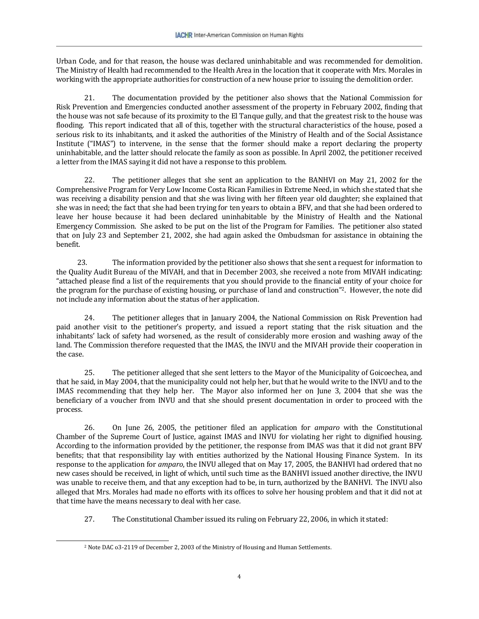Urban Code, and for that reason, the house was declared uninhabitable and was recommended for demolition. The Ministry of Health had recommended to the Health Area in the location that it cooperate with Mrs. Morales in working with the appropriate authorities for construction of a new house prior to issuing the demolition order.

21. The documentation provided by the petitioner also shows that the National Commission for Risk Prevention and Emergencies conducted another assessment of the property in February 2002, finding that the house was not safe because of its proximity to the El Tanque gully, and that the greatest risk to the house was flooding. This report indicated that all of this, together with the structural characteristics of the house, posed a serious risk to its inhabitants, and it asked the authorities of the Ministry of Health and of the Social Assistance Institute ("IMAS") to intervene, in the sense that the former should make a report declaring the property uninhabitable, and the latter should relocate the family as soon as possible. In April 2002, the petitioner received a letter from the IMAS saying it did not have a response to this problem.

22. The petitioner alleges that she sent an application to the BANHVI on May 21, 2002 for the Comprehensive Program for Very Low Income Costa Rican Families in Extreme Need, in which she stated that she was receiving a disability pension and that she was living with her fifteen year old daughter; she explained that she was in need; the fact that she had been trying for ten years to obtain a BFV, and that she had been ordered to leave her house because it had been declared uninhabitable by the Ministry of Health and the National Emergency Commission. She asked to be put on the list of the Program for Families. The petitioner also stated that on July 23 and September 21, 2002, she had again asked the Ombudsman for assistance in obtaining the benefit.

23. The information provided by the petitioner also shows that she sent a request for information to the Quality Audit Bureau of the MIVAH, and that in December 2003, she received a note from MIVAH indicating: "attached please find a list of the requirements that you should provide to the financial entity of your choice for the program for the purchase of existing housing, or purchase of land and construction"2. However, the note did not include any information about the status of her application.

24. The petitioner alleges that in January 2004, the National Commission on Risk Prevention had paid another visit to the petitioner's property, and issued a report stating that the risk situation and the inhabitants' lack of safety had worsened, as the result of considerably more erosion and washing away of the land. The Commission therefore requested that the IMAS, the INVU and the MIVAH provide their cooperation in the case.

25. The petitioner alleged that she sent letters to the Mayor of the Municipality of Goicoechea, and that he said, in May 2004, that the municipality could not help her, but that he would write to the INVU and to the IMAS recommending that they help her. The Mayor also informed her on June 3, 2004 that she was the beneficiary of a voucher from INVU and that she should present documentation in order to proceed with the process.

26. On June 26, 2005, the petitioner filed an application for *amparo* with the Constitutional Chamber of the Supreme Court of Justice, against IMAS and INVU for violating her right to dignified housing. According to the information provided by the petitioner, the response from IMAS was that it did not grant BFV benefits; that that responsibility lay with entities authorized by the National Housing Finance System. In its response to the application for *amparo*, the INVU alleged that on May 17, 2005, the BANHVI had ordered that no new cases should be received, in light of which, until such time as the BANHVI issued another directive, the INVU was unable to receive them, and that any exception had to be, in turn, authorized by the BANHVI. The INVU also alleged that Mrs. Morales had made no efforts with its offices to solve her housing problem and that it did not at that time have the means necessary to deal with her case.

27. The Constitutional Chamber issued its ruling on February 22, 2006, in which it stated:

 $\overline{a}$ 

<sup>2</sup> Note DAC o3-2119 of December 2, 2003 of the Ministry of Housing and Human Settlements.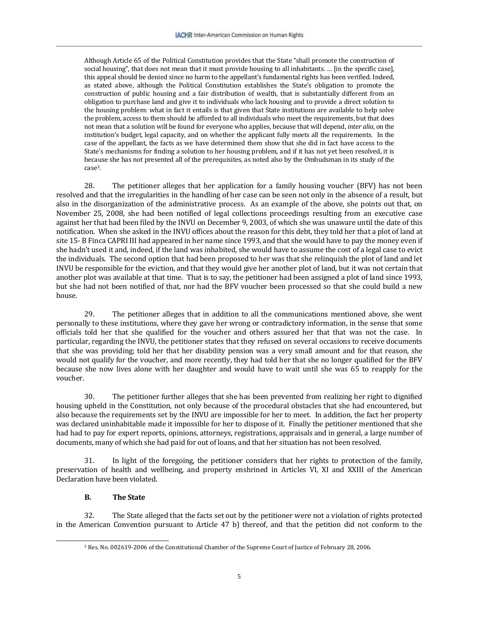Although Article 65 of the Political Constitution provides that the State "shall promote the construction of social housing", that does not mean that it must provide housing to all inhabitants. … [in the specific case], this appeal should be denied since no harm to the appellant's fundamental rights has been verified. Indeed, as stated above, although the Political Constitution establishes the State's obligation to promote the construction of public housing and a fair distribution of wealth, that is substantially different from an obligation to purchase land and give it to individuals who lack housing and to provide a direct solution to the housing problem: what in fact it entails is that given that State institutions are available to help solve the problem, access to them should be afforded to all individuals who meet the requirements, but that does not mean that a solution will be found for everyone who applies, because that will depend, *inter alia*, on the institution's budget, legal capacity, and on whether the applicant fully meets all the requirements. In the case of the appellant, the facts as we have determined them show that she did in fact have access to the State's mechanisms for finding a solution to her housing problem, and if it has not yet been resolved, it is because she has not presented all of the prerequisites, as noted also by the Ombudsman in its study of the case3.

28. The petitioner alleges that her application for a family housing voucher (BFV) has not been resolved and that the irregularities in the handling of her case can be seen not only in the absence of a result, but also in the disorganization of the administrative process. As an example of the above, she points out that, on November 25, 2008, she had been notified of legal collections proceedings resulting from an executive case against her that had been filed by the INVU on December 9, 2003, of which she was unaware until the date of this notification. When she asked in the INVU offices about the reason for this debt, they told her that a plot of land at site 15- B Finca CAPRI III had appeared in her name since 1993, and that she would have to pay the money even if she hadn't used it and, indeed, if the land was inhabited, she would have to assume the cost of a legal case to evict the individuals. The second option that had been proposed to her was that she relinquish the plot of land and let INVU be responsible for the eviction, and that they would give her another plot of land, but it was not certain that another plot was available at that time. That is to say, the petitioner had been assigned a plot of land since 1993, but she had not been notified of that, nor had the BFV voucher been processed so that she could build a new house.

29. The petitioner alleges that in addition to all the communications mentioned above, she went personally to these institutions, where they gave her wrong or contradictory information, in the sense that some officials told her that she qualified for the voucher and others assured her that that was not the case. In particular, regarding the INVU, the petitioner states that they refused on several occasions to receive documents that she was providing; told her that her disability pension was a very small amount and for that reason, she would not qualify for the voucher, and more recently, they had told her that she no longer qualified for the BFV because she now lives alone with her daughter and would have to wait until she was 65 to reapply for the voucher.

30. The petitioner further alleges that she has been prevented from realizing her right to dignified housing upheld in the Constitution, not only because of the procedural obstacles that she had encountered, but also because the requirements set by the INVU are impossible for her to meet. In addition, the fact her property was declared uninhabitable made it impossible for her to dispose of it. Finally the petitioner mentioned that she had had to pay for expert reports, opinions, attorneys, registrations, appraisals and in general, a large number of documents, many of which she had paid for out of loans, and that her situation has not been resolved.

31. In light of the foregoing, the petitioner considers that her rights to protection of the family, preservation of health and wellbeing, and property enshrined in Articles VI, XI and XXIII of the American Declaration have been violated.

#### **B. The State**

 $\overline{a}$ 

32. The State alleged that the facts set out by the petitioner were not a violation of rights protected in the American Convention pursuant to Article 47 b) thereof, and that the petition did not conform to the

<sup>3</sup> Res. No. 002619-2006 of the Constitutional Chamber of the Supreme Court of Justice of February 28, 2006.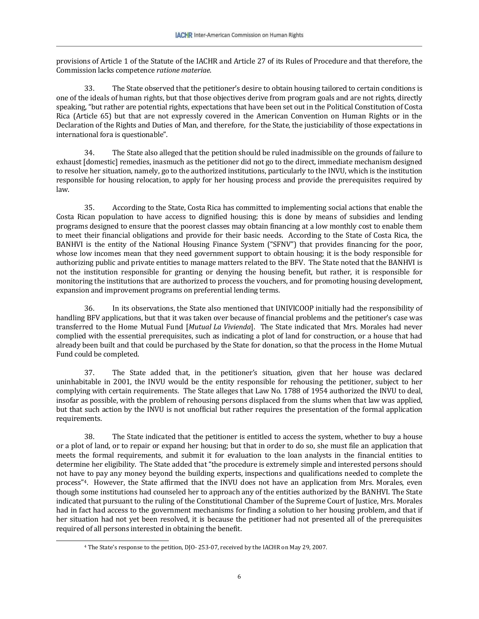provisions of Article 1 of the Statute of the IACHR and Article 27 of its Rules of Procedure and that therefore, the Commission lacks competence *ratione materiae*.

33. The State observed that the petitioner's desire to obtain housing tailored to certain conditions is one of the ideals of human rights, but that those objectives derive from program goals and are not rights, directly speaking, "but rather are potential rights, expectations that have been set out in the Political Constitution of Costa Rica (Article 65) but that are not expressly covered in the American Convention on Human Rights or in the Declaration of the Rights and Duties of Man, and therefore, for the State, the justiciability of those expectations in international fora is questionable".

34. The State also alleged that the petition should be ruled inadmissible on the grounds of failure to exhaust [domestic] remedies, inasmuch as the petitioner did not go to the direct, immediate mechanism designed to resolve her situation, namely, go to the authorized institutions, particularly to the INVU, which is the institution responsible for housing relocation, to apply for her housing process and provide the prerequisites required by law.

35. According to the State, Costa Rica has committed to implementing social actions that enable the Costa Rican population to have access to dignified housing; this is done by means of subsidies and lending programs designed to ensure that the poorest classes may obtain financing at a low monthly cost to enable them to meet their financial obligations and provide for their basic needs. According to the State of Costa Rica, the BANHVI is the entity of the National Housing Finance System ("SFNV") that provides financing for the poor, whose low incomes mean that they need government support to obtain housing; it is the body responsible for authorizing public and private entities to manage matters related to the BFV. The State noted that the BANHVI is not the institution responsible for granting or denying the housing benefit, but rather, it is responsible for monitoring the institutions that are authorized to process the vouchers, and for promoting housing development, expansion and improvement programs on preferential lending terms.

36. In its observations, the State also mentioned that UNIVICOOP initially had the responsibility of handling BFV applications, but that it was taken over because of financial problems and the petitioner's case was transferred to the Home Mutual Fund [*Mutual La Vivienda*]. The State indicated that Mrs. Morales had never complied with the essential prerequisites, such as indicating a plot of land for construction, or a house that had already been built and that could be purchased by the State for donation, so that the process in the Home Mutual Fund could be completed.

37. The State added that, in the petitioner's situation, given that her house was declared uninhabitable in 2001, the INVU would be the entity responsible for rehousing the petitioner, subject to her complying with certain requirements. The State alleges that Law No. 1788 of 1954 authorized the INVU to deal, insofar as possible, with the problem of rehousing persons displaced from the slums when that law was applied, but that such action by the INVU is not unofficial but rather requires the presentation of the formal application requirements.

38. The State indicated that the petitioner is entitled to access the system, whether to buy a house or a plot of land, or to repair or expand her housing; but that in order to do so, she must file an application that meets the formal requirements, and submit it for evaluation to the loan analysts in the financial entities to determine her eligibility. The State added that "the procedure is extremely simple and interested persons should not have to pay any money beyond the building experts, inspections and qualifications needed to complete the process"4. However, the State affirmed that the INVU does not have an application from Mrs. Morales, even though some institutions had counseled her to approach any of the entities authorized by the BANHVI. The State indicated that pursuant to the ruling of the Constitutional Chamber of the Supreme Court of Justice, Mrs. Morales had in fact had access to the government mechanisms for finding a solution to her housing problem, and that if her situation had not yet been resolved, it is because the petitioner had not presented all of the prerequisites required of all persons interested in obtaining the benefit.

 $\overline{a}$ 

<sup>4</sup> The State's response to the petition, DJO- 253-07, received by the IACHR on May 29, 2007.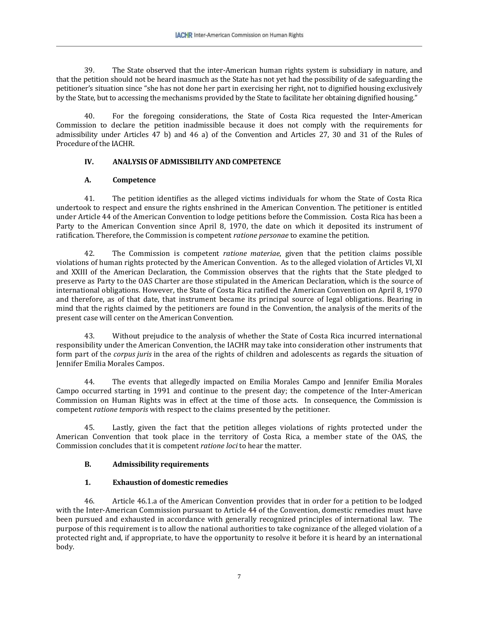39. The State observed that the inter-American human rights system is subsidiary in nature, and that the petition should not be heard inasmuch as the State has not yet had the possibility of de safeguarding the petitioner's situation since "she has not done her part in exercising her right, not to dignified housing exclusively by the State, but to accessing the mechanisms provided by the State to facilitate her obtaining dignified housing."

40. For the foregoing considerations, the State of Costa Rica requested the Inter-American Commission to declare the petition inadmissible because it does not comply with the requirements for admissibility under Articles 47 b) and 46 a) of the Convention and Articles 27, 30 and 31 of the Rules of Procedure of the IACHR.

## **IV. ANALYSIS OF ADMISSIBILITY AND COMPETENCE**

## **A. Competence**

41. The petition identifies as the alleged victims individuals for whom the State of Costa Rica undertook to respect and ensure the rights enshrined in the American Convention. The petitioner is entitled under Article 44 of the American Convention to lodge petitions before the Commission. Costa Rica has been a Party to the American Convention since April 8, 1970, the date on which it deposited its instrument of ratification. Therefore, the Commission is competent *ratione personae* to examine the petition.

42. The Commission is competent *ratione materiae*, given that the petition claims possible violations of human rights protected by the American Convention. As to the alleged violation of Articles VI, XI and XXIII of the American Declaration, the Commission observes that the rights that the State pledged to preserve as Party to the OAS Charter are those stipulated in the American Declaration, which is the source of international obligations. However, the State of Costa Rica ratified the American Convention on April 8, 1970 and therefore, as of that date, that instrument became its principal source of legal obligations. Bearing in mind that the rights claimed by the petitioners are found in the Convention, the analysis of the merits of the present case will center on the American Convention.

43. Without prejudice to the analysis of whether the State of Costa Rica incurred international responsibility under the American Convention, the IACHR may take into consideration other instruments that form part of the *corpus juris* in the area of the rights of children and adolescents as regards the situation of Jennifer Emilia Morales Campos.

44. The events that allegedly impacted on Emilia Morales Campo and Jennifer Emilia Morales Campo occurred starting in 1991 and continue to the present day; the competence of the Inter-American Commission on Human Rights was in effect at the time of those acts. In consequence, the Commission is competent *ratione temporis* with respect to the claims presented by the petitioner.

45. Lastly, given the fact that the petition alleges violations of rights protected under the American Convention that took place in the territory of Costa Rica, a member state of the OAS, the Commission concludes that it is competent *ratione loci* to hear the matter.

## **B. Admissibility requirements**

# **1. Exhaustion of domestic remedies**

46. Article 46.1.a of the American Convention provides that in order for a petition to be lodged with the Inter-American Commission pursuant to Article 44 of the Convention, domestic remedies must have been pursued and exhausted in accordance with generally recognized principles of international law. The purpose of this requirement is to allow the national authorities to take cognizance of the alleged violation of a protected right and, if appropriate, to have the opportunity to resolve it before it is heard by an international body.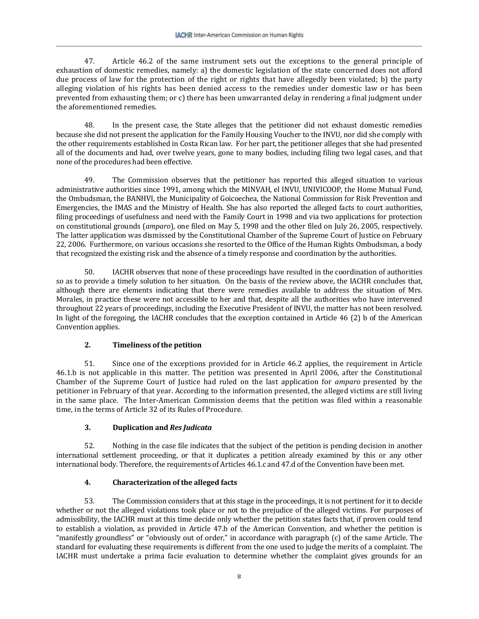47. Article 46.2 of the same instrument sets out the exceptions to the general principle of exhaustion of domestic remedies, namely: a) the domestic legislation of the state concerned does not afford due process of law for the protection of the right or rights that have allegedly been violated; b) the party alleging violation of his rights has been denied access to the remedies under domestic law or has been prevented from exhausting them; or c) there has been unwarranted delay in rendering a final judgment under the aforementioned remedies.

48. In the present case, the State alleges that the petitioner did not exhaust domestic remedies because she did not present the application for the Family Housing Voucher to the INVU, nor did she comply with the other requirements established in Costa Rican law. For her part, the petitioner alleges that she had presented all of the documents and had, over twelve years, gone to many bodies, including filing two legal cases, and that none of the procedures had been effective.

49. The Commission observes that the petitioner has reported this alleged situation to various administrative authorities since 1991, among which the MINVAH, el INVU, UNIVICOOP, the Home Mutual Fund, the Ombudsman, the BANHVI, the Municipality of Goicoechea, the National Commission for Risk Prevention and Emergencies, the IMAS and the Ministry of Health. She has also reported the alleged facts to court authorities, filing proceedings of usefulness and need with the Family Court in 1998 and via two applications for protection on constitutional grounds (*amparo*), one filed on May 5, 1998 and the other filed on July 26, 2005, respectively. The latter application was dismissed by the Constitutional Chamber of the Supreme Court of Justice on February 22, 2006. Furthermore, on various occasions she resorted to the Office of the Human Rights Ombudsman, a body that recognized the existing risk and the absence of a timely response and coordination by the authorities.

50. IACHR observes that none of these proceedings have resulted in the coordination of authorities so as to provide a timely solution to her situation. On the basis of the review above, the IACHR concludes that, although there are elements indicating that there were remedies available to address the situation of Mrs. Morales, in practice these were not accessible to her and that, despite all the authorities who have intervened throughout 22 years of proceedings, including the Executive President of INVU, the matter has not been resolved. In light of the foregoing, the IACHR concludes that the exception contained in Article 46 (2) b of the American Convention applies.

# **2. Timeliness of the petition**

51. Since one of the exceptions provided for in Article 46.2 applies, the requirement in Article 46.1.b is not applicable in this matter. The petition was presented in April 2006, after the Constitutional Chamber of the Supreme Court of Justice had ruled on the last application for *amparo* presented by the petitioner in February of that year. According to the information presented, the alleged victims are still living in the same place. The Inter-American Commission deems that the petition was filed within a reasonable time, in the terms of Article 32 of its Rules of Procedure.

## **3. Duplication and** *Res Judicata*

52. Nothing in the case file indicates that the subject of the petition is pending decision in another international settlement proceeding, or that it duplicates a petition already examined by this or any other international body. Therefore, the requirements of Articles 46.1.c and 47.d of the Convention have been met.

# **4. Characterization of the alleged facts**

53. The Commission considers that at this stage in the proceedings, it is not pertinent for it to decide whether or not the alleged violations took place or not to the prejudice of the alleged victims. For purposes of admissibility, the IACHR must at this time decide only whether the petition states facts that, if proven could tend to establish a violation, as provided in Article 47.b of the American Convention, and whether the petition is "manifestly groundless" or "obviously out of order," in accordance with paragraph (c) of the same Article. The standard for evaluating these requirements is different from the one used to judge the merits of a complaint. The IACHR must undertake a prima facie evaluation to determine whether the complaint gives grounds for an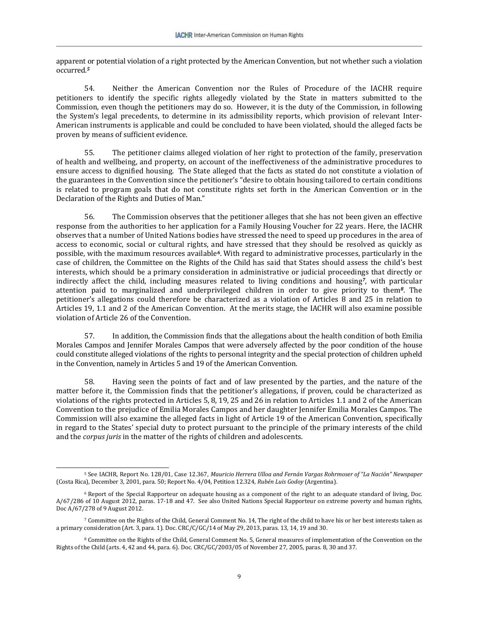apparent or potential violation of a right protected by the American Convention, but not whether such a violation occurred.*<sup>5</sup>*

54. Neither the American Convention nor the Rules of Procedure of the IACHR require petitioners to identify the specific rights allegedly violated by the State in matters submitted to the Commission, even though the petitioners may do so. However, it is the duty of the Commission, in following the System's legal precedents, to determine in its admissibility reports, which provision of relevant Inter-American instruments is applicable and could be concluded to have been violated, should the alleged facts be proven by means of sufficient evidence.

55. The petitioner claims alleged violation of her right to protection of the family, preservation of health and wellbeing, and property, on account of the ineffectiveness of the administrative procedures to ensure access to dignified housing. The State alleged that the facts as stated do not constitute a violation of the guarantees in the Convention since the petitioner's "desire to obtain housing tailored to certain conditions is related to program goals that do not constitute rights set forth in the American Convention or in the Declaration of the Rights and Duties of Man."

56. The Commission observes that the petitioner alleges that she has not been given an effective response from the authorities to her application for a Family Housing Voucher for 22 years. Here, the IACHR observes that a number of United Nations bodies have stressed the need to speed up procedures in the area of access to economic, social or cultural rights, and have stressed that they should be resolved as quickly as possible, with the maximum resources available*6*. With regard to administrative processes, particularly in the case of children, the Committee on the Rights of the Child has said that States should assess the child's best interests, which should be a primary consideration in administrative or judicial proceedings that directly or indirectly affect the child, including measures related to living conditions and housing*7*, with particular attention paid to marginalized and underprivileged children in order to give priority to them*8*. The petitioner's allegations could therefore be characterized as a violation of Articles 8 and 25 in relation to Articles 19, 1.1 and 2 of the American Convention. At the merits stage, the IACHR will also examine possible violation of Article 26 of the Convention.

57. In addition, the Commission finds that the allegations about the health condition of both Emilia Morales Campos and Jennifer Morales Campos that were adversely affected by the poor condition of the house could constitute alleged violations of the rights to personal integrity and the special protection of children upheld in the Convention, namely in Articles 5 and 19 of the American Convention.

58. Having seen the points of fact and of law presented by the parties, and the nature of the matter before it, the Commission finds that the petitioner's allegations, if proven, could be characterized as violations of the rights protected in Articles 5, 8, 19, 25 and 26 in relation to Articles 1.1 and 2 of the American Convention to the prejudice of Emilia Morales Campos and her daughter Jennifer Emilia Morales Campos. The Commission will also examine the alleged facts in light of Article 19 of the American Convention, specifically in regard to the States' special duty to protect pursuant to the principle of the primary interests of the child and the *corpus juris* in the matter of the rights of children and adolescents.

 $\overline{\phantom{a}}$ 

<sup>5</sup> See IACHR, Report No. 128/01, Case 12.367, *Mauricio Herrera Ulloa and Fernán Vargas Rohrmoser of "La Nación" Newspaper* (Costa Rica), December 3, 2001, para. 50; Report No. 4/04, Petition 12.324, *Rubén Luis Godoy* (Argentina).

<sup>6</sup> Report of the Special Rapporteur on adequate housing as a component of the right to an adequate standard of living, Doc. A/67/286 of 10 August 2012, paras. 17-18 and 47. See also United Nations Special Rapporteur on extreme poverty and human rights, Doc A/67/278 of 9 August 2012.

<sup>7</sup> Committee on the Rights of the Child, General Comment No. 14, The right of the child to have his or her best interests taken as a primary consideration (Art. 3, para. 1). Doc. CRC/C/GC/14 of May 29, 2013, paras. 13, 14, 19 and 30.

<sup>8</sup> Committee on the Rights of the Child, General Comment No. 5, General measures of implementation of the Convention on the Rights of the Child (arts. 4, 42 and 44, para. 6). Doc. CRC/GC/2003/05 of November 27, 2005, paras. 8, 30 and 37.